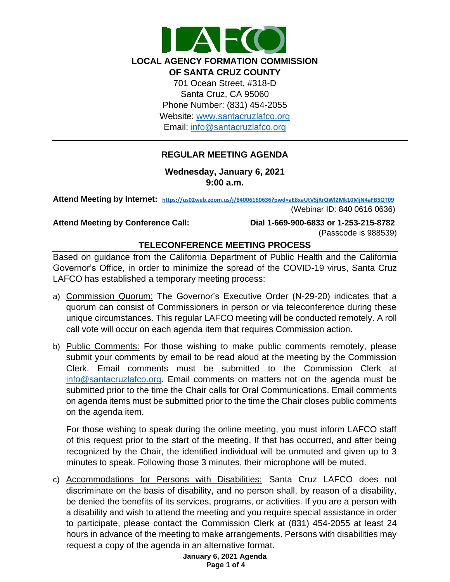

# **REGULAR MEETING AGENDA**

**Wednesday, January 6, 2021 9:00 a.m.**

**Attend Meeting by Internet: <https://us02web.zoom.us/j/84006160636?pwd=aE8xaUtVSjRrQWl2Mk10MjN4aFB5QT09>**

(Webinar ID: 840 0616 0636)

**Attend Meeting by Conference Call: Dial 1-669-900-6833 or 1-253-215-8782** (Passcode is 988539)

# **TELECONFERENCE MEETING PROCESS**

Based on guidance from the California Department of Public Health and the California Governor's Office, in order to minimize the spread of the COVID-19 virus, Santa Cruz LAFCO has established a temporary meeting process:

- a) Commission Quorum: The Governor's Executive Order (N-29-20) indicates that a quorum can consist of Commissioners in person or via teleconference during these unique circumstances. This regular LAFCO meeting will be conducted remotely. A roll call vote will occur on each agenda item that requires Commission action.
- b) Public Comments: For those wishing to make public comments remotely, please submit your comments by email to be read aloud at the meeting by the Commission Clerk. Email comments must be submitted to the Commission Clerk at [info@santacruzlafco.org.](mailto:info@santacruzlafco.org) Email comments on matters not on the agenda must be submitted prior to the time the Chair calls for Oral Communications. Email comments on agenda items must be submitted prior to the time the Chair closes public comments on the agenda item.

For those wishing to speak during the online meeting, you must inform LAFCO staff of this request prior to the start of the meeting. If that has occurred, and after being recognized by the Chair, the identified individual will be unmuted and given up to 3 minutes to speak. Following those 3 minutes, their microphone will be muted.

c) Accommodations for Persons with Disabilities: Santa Cruz LAFCO does not discriminate on the basis of disability, and no person shall, by reason of a disability, be denied the benefits of its services, programs, or activities. If you are a person with a disability and wish to attend the meeting and you require special assistance in order to participate, please contact the Commission Clerk at (831) 454-2055 at least 24 hours in advance of the meeting to make arrangements. Persons with disabilities may request a copy of the agenda in an alternative format.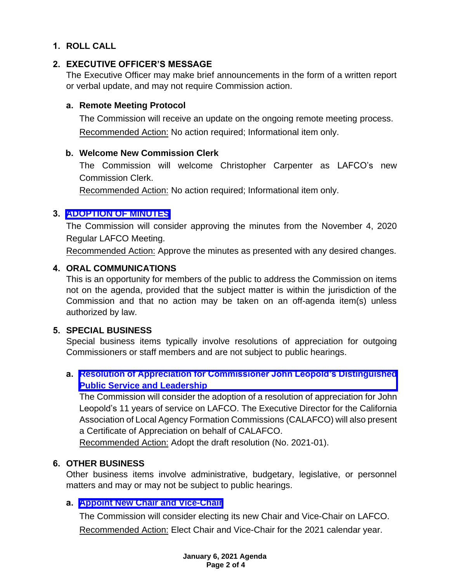# **1. ROLL CALL**

# **2. EXECUTIVE OFFICER'S MESSAGE**

The Executive Officer may make brief announcements in the form of a written report or verbal update, and may not require Commission action.

### **a. Remote Meeting Protocol**

The Commission will receive an update on the ongoing remote meeting process. Recommended Action: No action required; Informational item only.

### **b. Welcome New Commission Clerk**

The Commission will welcome Christopher Carpenter as LAFCO's new Commission Clerk.

Recommended Action: No action required; Informational item only.

# **3. [ADOPTION OF MINUTES](https://www.santacruzlafco.org/wp-content/uploads/2020/12/3.0-November-2020-Draft-Minutes-1.pdf)**

The Commission will consider approving the minutes from the November 4, 2020 Regular LAFCO Meeting.

Recommended Action: Approve the minutes as presented with any desired changes.

# **4. ORAL COMMUNICATIONS**

This is an opportunity for members of the public to address the Commission on items not on the agenda, provided that the subject matter is within the jurisdiction of the Commission and that no action may be taken on an off-agenda item(s) unless authorized by law.

# **5. SPECIAL BUSINESS**

Special business items typically involve resolutions of appreciation for outgoing Commissioners or staff members and are not subject to public hearings.

# **a. [Resolution of Appreciation for Commissioner John Leopold's Distinguished](https://www.santacruzlafco.org/wp-content/uploads/2020/12/5a.0-John-Leopold-Staff-Report.pdf) Public Service and Leadership**

The Commission will consider the adoption of a resolution of appreciation for John Leopold's 11 years of service on LAFCO. The Executive Director for the California Association of Local Agency Formation Commissions (CALAFCO) will also present a Certificate of Appreciation on behalf of CALAFCO.

Recommended Action: Adopt the draft resolution (No. 2021-01).

# **6. OTHER BUSINESS**

Other business items involve administrative, budgetary, legislative, or personnel matters and may or may not be subject to public hearings.

### **a. [Appoint New Chair and Vice-Chair](https://www.santacruzlafco.org/wp-content/uploads/2020/12/6a.0-Appoint-Chair-and-Vice-Chair-Staff-Report.pdf)**

The Commission will consider electing its new Chair and Vice-Chair on LAFCO.

Recommended Action: Elect Chair and Vice-Chair for the 2021 calendar year.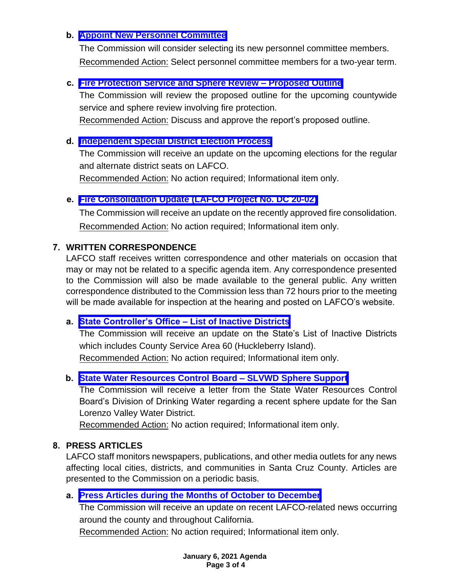# **b. [Appoint New Personnel Committee](https://www.santacruzlafco.org/wp-content/uploads/2020/12/6b.0-Appoint-Personnel-Committee-Staff-Report.pdf)**

The Commission will consider selecting its new personnel committee members. Recommended Action: Select personnel committee members for a two-year term.

### **c. [Fire Protection Service and Sphere Review –](https://www.santacruzlafco.org/wp-content/uploads/2020/12/6c.0-MSR-Fire-Scope-Staff-Report.pdf) Proposed Outline**

The Commission will review the proposed outline for the upcoming countywide service and sphere review involving fire protection.

Recommended Action: Discuss and approve the report's proposed outline.

### **d. [Independent Special District Election Process](https://www.santacruzlafco.org/wp-content/uploads/2020/12/6d.0-SD-Call-for-Nominations-Staff-Report.pdf)**

The Commission will receive an update on the upcoming elections for the regular and alternate district seats on LAFCO.

Recommended Action: No action required; Informational item only.

# **e. [Fire Consolidation Update \(LAFCO Project No. DC 20-02\)](https://www.santacruzlafco.org/wp-content/uploads/2020/12/6e.0-Consolidation-Update-Staff-Report.pdf)**

The Commission will receive an update on the recently approved fire consolidation. Recommended Action: No action required; Informational item only.

# **7. WRITTEN CORRESPONDENCE**

LAFCO staff receives written correspondence and other materials on occasion that may or may not be related to a specific agenda item. Any correspondence presented to the Commission will also be made available to the general public. Any written correspondence distributed to the Commission less than 72 hours prior to the meeting will be made available for inspection at the hearing and posted on LAFCO's website.

### **a. [State Controller's Office –](https://www.santacruzlafco.org/wp-content/uploads/2020/12/7a.0-CSA-60-Status-Staff-Report.pdf) List of Inactive Districts**

The Commission will receive an update on the State's List of Inactive Districts which includes County Service Area 60 (Huckleberry Island).

Recommended Action: No action required; Informational item only.

# **b. [State Water Resources Control Board –](https://www.santacruzlafco.org/wp-content/uploads/2020/12/7b.0-SLVWD-SOI-Staff-Report.pdf) SLVWD Sphere Support**

The Commission will receive a letter from the State Water Resources Control Board's Division of Drinking Water regarding a recent sphere update for the San Lorenzo Valley Water District.

Recommended Action: No action required; Informational item only.

### **8. PRESS ARTICLES**

LAFCO staff monitors newspapers, publications, and other media outlets for any news affecting local cities, districts, and communities in Santa Cruz County. Articles are presented to the Commission on a periodic basis.

### **a. [Press Articles during the Months of October to](https://www.santacruzlafco.org/wp-content/uploads/2020/12/8a.0-Press-Articles-Staff-Report.pdf) December**

The Commission will receive an update on recent LAFCO-related news occurring around the county and throughout California.

Recommended Action: No action required; Informational item only.